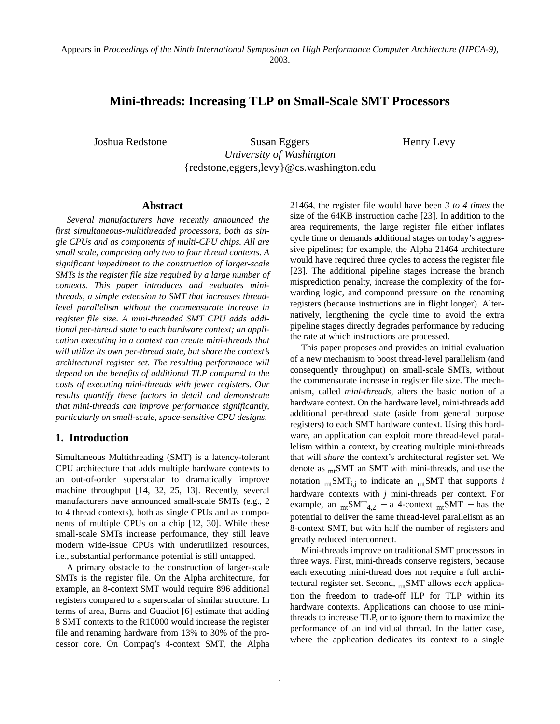Appears in *Proceedings of the Ninth International Symposium on High Performance Computer Architecture (HPCA-9)*, 2003.

# **Mini-threads: Increasing TLP on Small-Scale SMT Processors**

Joshua Redstone Susan Eggers Henry Levy *University of Washington* {redstone,eggers,levy}@cs.washington.edu

### **Abstract**

*Several manufacturers have recently announced the first simultaneous-multithreaded processors, both as single CPUs and as components of multi-CPU chips. All are small scale, comprising only two to four thread contexts. A significant impediment to the construction of larger-scale SMTs is the register file size required by a large number of contexts. This paper introduces and evaluates minithreads, a simple extension to SMT that increases threadlevel parallelism without the commensurate increase in register file size. A mini-threaded SMT CPU adds additional per-thread state to each hardware context; an application executing in a context can create mini-threads that will utilize its own per-thread state, but share the context's architectural register set. The resulting performance will depend on the benefits of additional TLP compared to the costs of executing mini-threads with fewer registers. Our results quantify these factors in detail and demonstrate that mini-threads can improve performance significantly, particularly on small-scale, space-sensitive CPU designs*.

### **1. Introduction**

Simultaneous Multithreading (SMT) is a latency-tolerant CPU architecture that adds multiple hardware contexts to an out-of-order superscalar to dramatically improve machine throughput [14, 32, 25, 13]. Recently, several manufacturers have announced small-scale SMTs (e.g., 2 to 4 thread contexts), both as single CPUs and as components of multiple CPUs on a chip [12, 30]. While these small-scale SMTs increase performance, they still leave modern wide-issue CPUs with underutilized resources, i.e., substantial performance potential is still untapped.

A primary obstacle to the construction of larger-scale SMTs is the register file. On the Alpha architecture, for example, an 8-context SMT would require 896 additional registers compared to a superscalar of similar structure. In terms of area, Burns and Guadiot [6] estimate that adding 8 SMT contexts to the R10000 would increase the register file and renaming hardware from 13% to 30% of the processor core. On Compaq's 4-context SMT, the Alpha

21464, the register file would have been *3 to 4 times* the size of the 64KB instruction cache [23]. In addition to the area requirements, the large register file either inflates cycle time or demands additional stages on today's aggressive pipelines; for example, the Alpha 21464 architecture would have required three cycles to access the register file [23]. The additional pipeline stages increase the branch misprediction penalty, increase the complexity of the forwarding logic, and compound pressure on the renaming registers (because instructions are in flight longer). Alternatively, lengthening the cycle time to avoid the extra pipeline stages directly degrades performance by reducing the rate at which instructions are processed.

This paper proposes and provides an initial evaluation of a new mechanism to boost thread-level parallelism (and consequently throughput) on small-scale SMTs, without the commensurate increase in register file size. The mechanism, called *mini-threads*, alters the basic notion of a hardware context. On the hardware level, mini-threads add additional per-thread state (aside from general purpose registers) to each SMT hardware context. Using this hardware, an application can exploit more thread-level parallelism within a context, by creating multiple mini-threads that will *share* the context's architectural register set. We denote as  $_{\text{mt}}$ SMT an SMT with mini-threads, and use the notation  $m_f SMT_{i,j}$  to indicate an  $m_f SMT$  that supports *i* hardware contexts with *j* mini-threads per context. For example, an  $_{mt}SMT_{4,2}$  – a 4-context  $_{mt}SMT$  – has the potential to deliver the same thread-level parallelism as an 8-context SMT, but with half the number of registers and greatly reduced interconnect.

Mini-threads improve on traditional SMT processors in three ways. First, mini-threads conserve registers, because each executing mini-thread does not require a full architectural register set. Second, <sub>mt</sub>SMT allows *each* application the freedom to trade-off ILP for TLP within its hardware contexts. Applications can choose to use minithreads to increase TLP, or to ignore them to maximize the performance of an individual thread. In the latter case, where the application dedicates its context to a single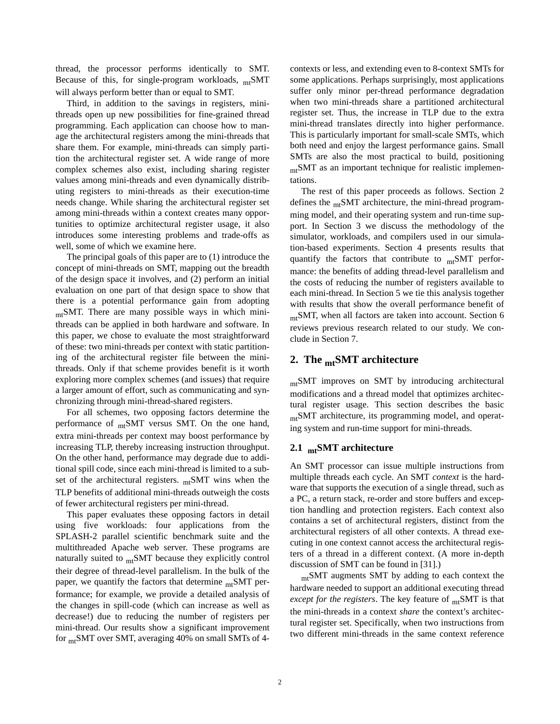thread, the processor performs identically to SMT. Because of this, for single-program workloads,  $_{mt}$ SMT will always perform better than or equal to SMT.

Third, in addition to the savings in registers, minithreads open up new possibilities for fine-grained thread programming. Each application can choose how to manage the architectural registers among the mini-threads that share them. For example, mini-threads can simply partition the architectural register set. A wide range of more complex schemes also exist, including sharing register values among mini-threads and even dynamically distributing registers to mini-threads as their execution-time needs change. While sharing the architectural register set among mini-threads within a context creates many opportunities to optimize architectural register usage, it also introduces some interesting problems and trade-offs as well, some of which we examine here.

The principal goals of this paper are to (1) introduce the concept of mini-threads on SMT, mapping out the breadth of the design space it involves, and (2) perform an initial evaluation on one part of that design space to show that there is a potential performance gain from adopting <sub>mt</sub>SMT. There are many possible ways in which minithreads can be applied in both hardware and software. In this paper, we chose to evaluate the most straightforward of these: two mini-threads per context with static partitioning of the architectural register file between the minithreads. Only if that scheme provides benefit is it worth exploring more complex schemes (and issues) that require a larger amount of effort, such as communicating and synchronizing through mini-thread-shared registers.

For all schemes, two opposing factors determine the performance of  $m$ SMT versus SMT. On the one hand, extra mini-threads per context may boost performance by increasing TLP, thereby increasing instruction throughput. On the other hand, performance may degrade due to additional spill code, since each mini-thread is limited to a subset of the architectural registers.  $_{\text{mt}}$ SMT wins when the TLP benefits of additional mini-threads outweigh the costs of fewer architectural registers per mini-thread.

This paper evaluates these opposing factors in detail using five workloads: four applications from the SPLASH-2 parallel scientific benchmark suite and the multithreaded Apache web server. These programs are naturally suited to  $_{\text{mf}}$ SMT because they explicitly control their degree of thread-level parallelism. In the bulk of the paper, we quantify the factors that determine  $m<sub>th</sub> SMT$  performance; for example, we provide a detailed analysis of the changes in spill-code (which can increase as well as decrease!) due to reducing the number of registers per mini-thread. Our results show a significant improvement for <sub>mt</sub>SMT over SMT, averaging 40% on small SMTs of 4contexts or less, and extending even to 8-context SMTs for some applications. Perhaps surprisingly, most applications suffer only minor per-thread performance degradation when two mini-threads share a partitioned architectural register set. Thus, the increase in TLP due to the extra mini-thread translates directly into higher performance. This is particularly important for small-scale SMTs, which both need and enjoy the largest performance gains. Small SMTs are also the most practical to build, positioning  $_{\text{mt}}$ SMT as an important technique for realistic implementations.

The rest of this paper proceeds as follows. Section 2 defines the  $m<sub>th</sub>$ SMT architecture, the mini-thread programming model, and their operating system and run-time support. In Section 3 we discuss the methodology of the simulator, workloads, and compilers used in our simulation-based experiments. Section 4 presents results that quantify the factors that contribute to  $m<sub>th</sub> SMT$  performance: the benefits of adding thread-level parallelism and the costs of reducing the number of registers available to each mini-thread. In Section 5 we tie this analysis together with results that show the overall performance benefit of  $m<sub>mt</sub>$ SMT, when all factors are taken into account. Section 6 reviews previous research related to our study. We conclude in Section 7.

## 2. The <sub>mt</sub>SMT architecture

<sub>mt</sub>SMT improves on SMT by introducing architectural modifications and a thread model that optimizes architectural register usage. This section describes the basic <sub>mt</sub>SMT architecture, its programming model, and operating system and run-time support for mini-threads.

# 2.1 mt<sub>SMT</sub> architecture

An SMT processor can issue multiple instructions from multiple threads each cycle. An SMT *context* is the hardware that supports the execution of a single thread, such as a PC, a return stack, re-order and store buffers and exception handling and protection registers. Each context also contains a set of architectural registers, distinct from the architectural registers of all other contexts. A thread executing in one context cannot access the architectural registers of a thread in a different context. (A more in-depth discussion of SMT can be found in [31].)

<sub>mt</sub>SMT augments SMT by adding to each context the hardware needed to support an additional executing thread *except for the registers*. The key feature of <sub>mt</sub>SMT is that the mini-threads in a context *share* the context's architectural register set. Specifically, when two instructions from two different mini-threads in the same context reference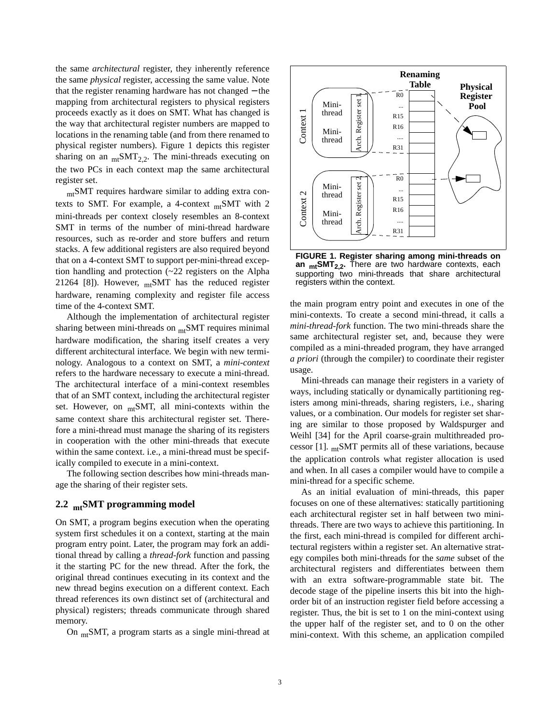the same *architectural* register, they inherently reference the same *physical* register, accessing the same value. Note that the register renaming hardware has not changed − the mapping from architectural registers to physical registers proceeds exactly as it does on SMT. What has changed is the way that architectural register numbers are mapped to locations in the renaming table (and from there renamed to physical register numbers). Figure 1 depicts this register sharing on an  $m_{\text{int}}\text{SMT}_{2,2}$ . The mini-threads executing on the two PCs in each context map the same architectural register set.

mtSMT requires hardware similar to adding extra contexts to SMT. For example, a 4-context  $_{mt}$ SMT with 2 mini-threads per context closely resembles an 8-context SMT in terms of the number of mini-thread hardware resources, such as re-order and store buffers and return stacks. A few additional registers are also required beyond that on a 4-context SMT to support per-mini-thread exception handling and protection (~22 registers on the Alpha 21264 [8]). However,  $m$ <sub>5</sub>SMT has the reduced register hardware, renaming complexity and register file access time of the 4-context SMT.

Although the implementation of architectural register sharing between mini-threads on  $m$ <sub>th</sub>SMT requires minimal hardware modification, the sharing itself creates a very different architectural interface. We begin with new terminology. Analogous to a context on SMT, a *mini-context* refers to the hardware necessary to execute a mini-thread. The architectural interface of a mini-context resembles that of an SMT context, including the architectural register set. However, on  $m<sub>mt</sub> SMT$ , all mini-contexts within the same context share this architectural register set. Therefore a mini-thread must manage the sharing of its registers in cooperation with the other mini-threads that execute within the same context. i.e., a mini-thread must be specifically compiled to execute in a mini-context.

The following section describes how mini-threads manage the sharing of their register sets.

### 2.2 <sub>mt</sub>SMT programming model

On SMT, a program begins execution when the operating system first schedules it on a context, starting at the main program entry point. Later, the program may fork an additional thread by calling a *thread-fork* function and passing it the starting PC for the new thread. After the fork, the original thread continues executing in its context and the new thread begins execution on a different context. Each thread references its own distinct set of (architectural and physical) registers; threads communicate through shared memory.

On  $m$ SMT, a program starts as a single mini-thread at



**FIGURE 1. Register sharing among mini-threads on** an <sub>mt</sub>SMT<sub>2.2</sub>. There are two hardware contexts, each supporting two mini-threads that share architectural registers within the context.

the main program entry point and executes in one of the mini-contexts. To create a second mini-thread, it calls a *mini-thread-fork* function. The two mini-threads share the same architectural register set, and, because they were compiled as a mini-threaded program, they have arranged *a priori* (through the compiler) to coordinate their register usage.

Mini-threads can manage their registers in a variety of ways, including statically or dynamically partitioning registers among mini-threads, sharing registers, i.e., sharing values, or a combination. Our models for register set sharing are similar to those proposed by Waldspurger and Weihl [34] for the April coarse-grain multithreaded processor [1].  $_{\text{mt}}$ SMT permits all of these variations, because the application controls what register allocation is used and when. In all cases a compiler would have to compile a mini-thread for a specific scheme.

As an initial evaluation of mini-threads, this paper focuses on one of these alternatives: statically partitioning each architectural register set in half between two minithreads. There are two ways to achieve this partitioning. In the first, each mini-thread is compiled for different architectural registers within a register set. An alternative strategy compiles both mini-threads for the *same* subset of the architectural registers and differentiates between them with an extra software-programmable state bit. The decode stage of the pipeline inserts this bit into the highorder bit of an instruction register field before accessing a register. Thus, the bit is set to 1 on the mini-context using the upper half of the register set, and to 0 on the other mini-context. With this scheme, an application compiled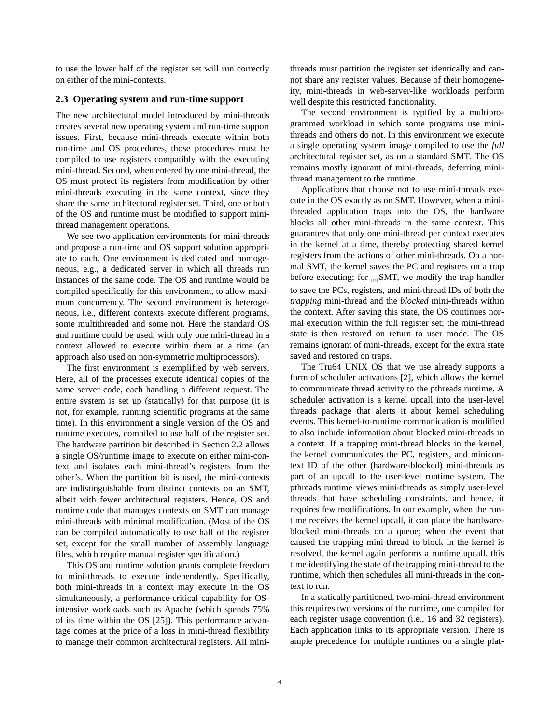to use the lower half of the register set will run correctly on either of the mini-contexts.

#### **2.3 Operating system and run-time support**

The new architectural model introduced by mini-threads creates several new operating system and run-time support issues. First, because mini-threads execute within both run-time and OS procedures, those procedures must be compiled to use registers compatibly with the executing mini-thread. Second, when entered by one mini-thread, the OS must protect its registers from modification by other mini-threads executing in the same context, since they share the same architectural register set. Third, one or both of the OS and runtime must be modified to support minithread management operations.

We see two application environments for mini-threads and propose a run-time and OS support solution appropriate to each. One environment is dedicated and homogeneous, e.g., a dedicated server in which all threads run instances of the same code. The OS and runtime would be compiled specifically for this environment, to allow maximum concurrency. The second environment is heterogeneous, i.e., different contexts execute different programs, some multithreaded and some not. Here the standard OS and runtime could be used, with only one mini-thread in a context allowed to execute within them at a time (an approach also used on non-symmetric multiprocessors).

The first environment is exemplified by web servers. Here, all of the processes execute identical copies of the same server code, each handling a different request. The entire system is set up (statically) for that purpose (it is not, for example, running scientific programs at the same time). In this environment a single version of the OS and runtime executes, compiled to use half of the register set. The hardware partition bit described in Section 2.2 allows a single OS/runtime image to execute on either mini-context and isolates each mini-thread's registers from the other's. When the partition bit is used, the mini-contexts are indistinguishable from distinct contexts on an SMT, albeit with fewer architectural registers. Hence, OS and runtime code that manages contexts on SMT can manage mini-threads with minimal modification. (Most of the OS can be compiled automatically to use half of the register set, except for the small number of assembly language files, which require manual register specification.)

This OS and runtime solution grants complete freedom to mini-threads to execute independently. Specifically, both mini-threads in a context may execute in the OS simultaneously, a performance-critical capability for OSintensive workloads such as Apache (which spends 75% of its time within the OS [25]). This performance advantage comes at the price of a loss in mini-thread flexibility to manage their common architectural registers. All mini-

threads must partition the register set identically and cannot share any register values. Because of their homogeneity, mini-threads in web-server-like workloads perform well despite this restricted functionality.

The second environment is typified by a multiprogrammed workload in which some programs use minithreads and others do not. In this environment we execute a single operating system image compiled to use the *full* architectural register set, as on a standard SMT. The OS remains mostly ignorant of mini-threads, deferring minithread management to the runtime.

Applications that choose not to use mini-threads execute in the OS exactly as on SMT. However, when a minithreaded application traps into the OS, the hardware blocks all other mini-threads in the same context. This guarantees that only one mini-thread per context executes in the kernel at a time, thereby protecting shared kernel registers from the actions of other mini-threads. On a normal SMT, the kernel saves the PC and registers on a trap before executing; for  $m<sub>mt</sub>$ SMT, we modify the trap handler to save the PCs, registers, and mini-thread IDs of both the *trapping* mini-thread and the *blocked* mini-threads within the context. After saving this state, the OS continues normal execution within the full register set; the mini-thread state is then restored on return to user mode. The OS remains ignorant of mini-threads, except for the extra state saved and restored on traps.

The Tru64 UNIX OS that we use already supports a form of scheduler activations [2], which allows the kernel to communicate thread activity to the pthreads runtime. A scheduler activation is a kernel upcall into the user-level threads package that alerts it about kernel scheduling events. This kernel-to-runtime communication is modified to also include information about blocked mini-threads in a context. If a trapping mini-thread blocks in the kernel, the kernel communicates the PC, registers, and minicontext ID of the other (hardware-blocked) mini-threads as part of an upcall to the user-level runtime system. The pthreads runtime views mini-threads as simply user-level threads that have scheduling constraints, and hence, it requires few modifications. In our example, when the runtime receives the kernel upcall, it can place the hardwareblocked mini-threads on a queue; when the event that caused the trapping mini-thread to block in the kernel is resolved, the kernel again performs a runtime upcall, this time identifying the state of the trapping mini-thread to the runtime, which then schedules all mini-threads in the context to run.

In a statically partitioned, two-mini-thread environment this requires two versions of the runtime, one compiled for each register usage convention (i.e., 16 and 32 registers). Each application links to its appropriate version. There is ample precedence for multiple runtimes on a single plat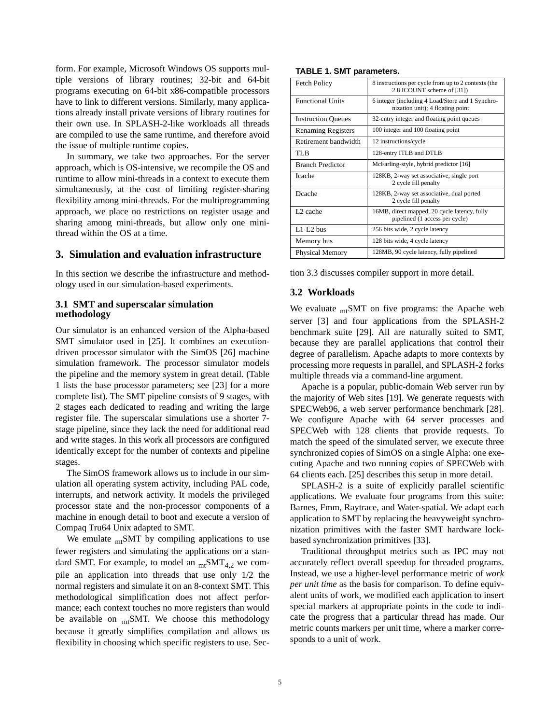form. For example, Microsoft Windows OS supports multiple versions of library routines; 32-bit and 64-bit programs executing on 64-bit x86-compatible processors have to link to different versions. Similarly, many applications already install private versions of library routines for their own use. In SPLASH-2-like workloads all threads are compiled to use the same runtime, and therefore avoid the issue of multiple runtime copies.

In summary, we take two approaches. For the server approach, which is OS-intensive, we recompile the OS and runtime to allow mini-threads in a context to execute them simultaneously, at the cost of limiting register-sharing flexibility among mini-threads. For the multiprogramming approach, we place no restrictions on register usage and sharing among mini-threads, but allow only one minithread within the OS at a time.

#### **3. Simulation and evaluation infrastructure**

In this section we describe the infrastructure and methodology used in our simulation-based experiments.

#### **3.1 SMT and superscalar simulation methodology**

Our simulator is an enhanced version of the Alpha-based SMT simulator used in [25]. It combines an executiondriven processor simulator with the SimOS [26] machine simulation framework. The processor simulator models the pipeline and the memory system in great detail. (Table 1 lists the base processor parameters; see [23] for a more complete list). The SMT pipeline consists of 9 stages, with 2 stages each dedicated to reading and writing the large register file. The superscalar simulations use a shorter 7 stage pipeline, since they lack the need for additional read and write stages. In this work all processors are configured identically except for the number of contexts and pipeline stages.

The SimOS framework allows us to include in our simulation all operating system activity, including PAL code, interrupts, and network activity. It models the privileged processor state and the non-processor components of a machine in enough detail to boot and execute a version of Compaq Tru64 Unix adapted to SMT.

We emulate  $m<sub>th</sub>$ SMT by compiling applications to use fewer registers and simulating the applications on a standard SMT. For example, to model an  $m_{\text{int}}\text{SMT}_{4,2}$  we compile an application into threads that use only 1/2 the normal registers and simulate it on an 8-context SMT. This methodological simplification does not affect performance; each context touches no more registers than would be available on  $m<sub>mt</sub>$ SMT. We choose this methodology because it greatly simplifies compilation and allows us flexibility in choosing which specific registers to use. Sec-

|  |  |  | <b>TABLE 1. SMT parameters.</b> |
|--|--|--|---------------------------------|
|--|--|--|---------------------------------|

| <b>Fetch Policy</b>       | 8 instructions per cycle from up to 2 contexts (the<br>2.8 ICOUNT scheme of [31])    |  |
|---------------------------|--------------------------------------------------------------------------------------|--|
| <b>Functional Units</b>   | 6 integer (including 4 Load/Store and 1 Synchro-<br>nization unit); 4 floating point |  |
| <b>Instruction Queues</b> | 32-entry integer and floating point queues                                           |  |
| <b>Renaming Registers</b> | 100 integer and 100 floating point                                                   |  |
| Retirement bandwidth      | 12 instructions/cycle                                                                |  |
| TLB                       | 128-entry ITLB and DTLB                                                              |  |
| <b>Branch Predictor</b>   | McFarling-style, hybrid predictor [16]                                               |  |
| <b>I</b> cache            | 128KB, 2-way set associative, single port<br>2 cycle fill penalty                    |  |
| Dcache                    | 128KB, 2-way set associative, dual ported<br>2 cycle fill penalty                    |  |
| L <sub>2</sub> cache      | 16MB, direct mapped, 20 cycle latency, fully<br>pipelined (1 access per cycle)       |  |
| $L1-L2$ bus               | 256 bits wide, 2 cycle latency                                                       |  |
| Memory bus                | 128 bits wide, 4 cycle latency                                                       |  |
| <b>Physical Memory</b>    | 128MB, 90 cycle latency, fully pipelined                                             |  |

tion 3.3 discusses compiler support in more detail.

### **3.2 Workloads**

We evaluate  $m<sub>th</sub> SMT$  on five programs: the Apache web server [3] and four applications from the SPLASH-2 benchmark suite [29]. All are naturally suited to SMT, because they are parallel applications that control their degree of parallelism. Apache adapts to more contexts by processing more requests in parallel, and SPLASH-2 forks multiple threads via a command-line argument.

Apache is a popular, public-domain Web server run by the majority of Web sites [19]. We generate requests with SPECWeb96, a web server performance benchmark [28]. We configure Apache with 64 server processes and SPECWeb with 128 clients that provide requests. To match the speed of the simulated server, we execute three synchronized copies of SimOS on a single Alpha: one executing Apache and two running copies of SPECWeb with 64 clients each. [25] describes this setup in more detail.

SPLASH-2 is a suite of explicitly parallel scientific applications. We evaluate four programs from this suite: Barnes, Fmm, Raytrace, and Water-spatial. We adapt each application to SMT by replacing the heavyweight synchronization primitives with the faster SMT hardware lockbased synchronization primitives [33].

Traditional throughput metrics such as IPC may not accurately reflect overall speedup for threaded programs. Instead, we use a higher-level performance metric of *work per unit time* as the basis for comparison. To define equivalent units of work, we modified each application to insert special markers at appropriate points in the code to indicate the progress that a particular thread has made. Our metric counts markers per unit time, where a marker corresponds to a unit of work.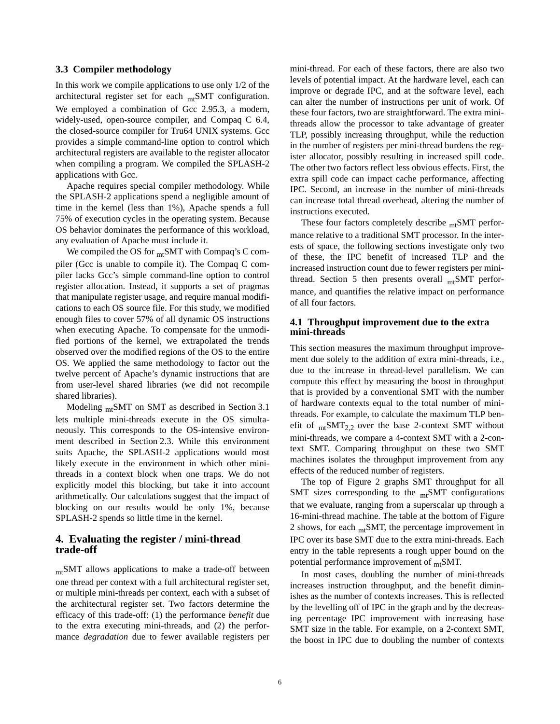#### **3.3 Compiler methodology**

In this work we compile applications to use only 1/2 of the architectural register set for each <sub>mt</sub>SMT configuration. We employed a combination of Gcc 2.95.3, a modern, widely-used, open-source compiler, and Compaq C 6.4, the closed-source compiler for Tru64 UNIX systems. Gcc provides a simple command-line option to control which architectural registers are available to the register allocator when compiling a program. We compiled the SPLASH-2 applications with Gcc.

Apache requires special compiler methodology. While the SPLASH-2 applications spend a negligible amount of time in the kernel (less than 1%), Apache spends a full 75% of execution cycles in the operating system. Because OS behavior dominates the performance of this workload, any evaluation of Apache must include it.

We compiled the OS for  $m<sub>mt</sub>$ SMT with Compaq's C compiler (Gcc is unable to compile it). The Compaq C compiler lacks Gcc's simple command-line option to control register allocation. Instead, it supports a set of pragmas that manipulate register usage, and require manual modifications to each OS source file. For this study, we modified enough files to cover 57% of all dynamic OS instructions when executing Apache. To compensate for the unmodified portions of the kernel, we extrapolated the trends observed over the modified regions of the OS to the entire OS. We applied the same methodology to factor out the twelve percent of Apache's dynamic instructions that are from user-level shared libraries (we did not recompile shared libraries).

Modeling  $m<sub>th</sub>$ SMT on SMT as described in Section 3.1 lets multiple mini-threads execute in the OS simultaneously. This corresponds to the OS-intensive environment described in Section 2.3. While this environment suits Apache, the SPLASH-2 applications would most likely execute in the environment in which other minithreads in a context block when one traps. We do not explicitly model this blocking, but take it into account arithmetically. Our calculations suggest that the impact of blocking on our results would be only 1%, because SPLASH-2 spends so little time in the kernel.

# **4. Evaluating the register / mini-thread trade-off**

<sub>mt</sub>SMT allows applications to make a trade-off between one thread per context with a full architectural register set, or multiple mini-threads per context, each with a subset of the architectural register set. Two factors determine the efficacy of this trade-off: (1) the performance *benefit* due to the extra executing mini-threads, and (2) the performance *degradation* due to fewer available registers per

mini-thread. For each of these factors, there are also two levels of potential impact. At the hardware level, each can improve or degrade IPC, and at the software level, each can alter the number of instructions per unit of work. Of these four factors, two are straightforward. The extra minithreads allow the processor to take advantage of greater TLP, possibly increasing throughput, while the reduction in the number of registers per mini-thread burdens the register allocator, possibly resulting in increased spill code. The other two factors reflect less obvious effects. First, the extra spill code can impact cache performance, affecting IPC. Second, an increase in the number of mini-threads can increase total thread overhead, altering the number of instructions executed.

These four factors completely describe  $m<sub>th</sub> SMT$  performance relative to a traditional SMT processor. In the interests of space, the following sections investigate only two of these, the IPC benefit of increased TLP and the increased instruction count due to fewer registers per minithread. Section 5 then presents overall  $_{mt}$ SMT performance, and quantifies the relative impact on performance of all four factors.

#### **4.1 Throughput improvement due to the extra mini-threads**

This section measures the maximum throughput improvement due solely to the addition of extra mini-threads, i.e., due to the increase in thread-level parallelism. We can compute this effect by measuring the boost in throughput that is provided by a conventional SMT with the number of hardware contexts equal to the total number of minithreads. For example, to calculate the maximum TLP benefit of  $_{\text{mt}}\text{SMT}_{2,2}$  over the base 2-context SMT without mini-threads, we compare a 4-context SMT with a 2-context SMT. Comparing throughput on these two SMT machines isolates the throughput improvement from any effects of the reduced number of registers.

The top of Figure 2 graphs SMT throughput for all SMT sizes corresponding to the  $m$ <sub>t</sub>SMT configurations that we evaluate, ranging from a superscalar up through a 16-mini-thread machine. The table at the bottom of Figure 2 shows, for each  $_{\text{mt}}$ SMT, the percentage improvement in IPC over its base SMT due to the extra mini-threads. Each entry in the table represents a rough upper bound on the potential performance improvement of <sub>mt</sub>SMT.

In most cases, doubling the number of mini-threads increases instruction throughput, and the benefit diminishes as the number of contexts increases. This is reflected by the levelling off of IPC in the graph and by the decreasing percentage IPC improvement with increasing base SMT size in the table. For example, on a 2-context SMT, the boost in IPC due to doubling the number of contexts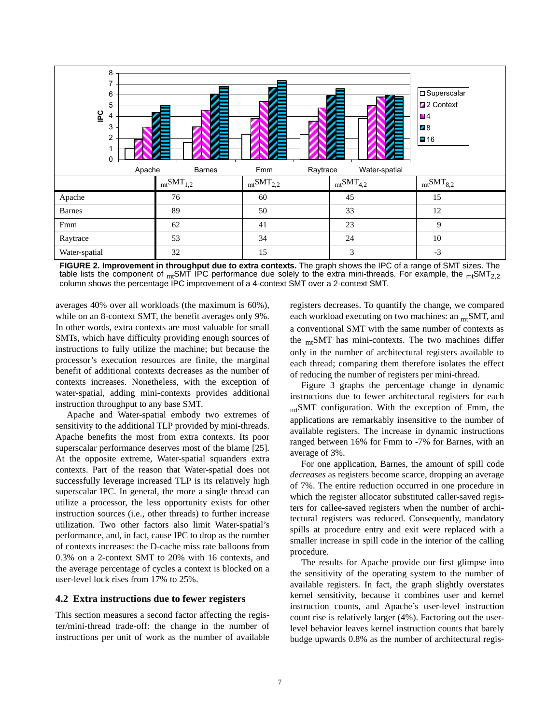

**FIGURE 2. Improvement in throughput due to extra contexts.** The graph shows the IPC of a range of SMT sizes. The table lists the component of  $_{\rm mt}$ SMT IPC performance due solely to the extra mini-threads. For example, the  $_{\rm mt}$ SMT<sub>22</sub> column shows the percentage IPC improvement of a 4-context SMT over a 2-context SMT.

averages 40% over all workloads (the maximum is 60%), while on an 8-context SMT, the benefit averages only 9%. In other words, extra contexts are most valuable for small SMTs, which have difficulty providing enough sources of instructions to fully utilize the machine; but because the processor's execution resources are finite, the marginal benefit of additional contexts decreases as the number of contexts increases. Nonetheless, with the exception of water-spatial, adding mini-contexts provides additional instruction throughput to any base SMT.

Apache and Water-spatial embody two extremes of sensitivity to the additional TLP provided by mini-threads. Apache benefits the most from extra contexts. Its poor superscalar performance deserves most of the blame [25]. At the opposite extreme, Water-spatial squanders extra contexts. Part of the reason that Water-spatial does not successfully leverage increased TLP is its relatively high superscalar IPC. In general, the more a single thread can utilize a processor, the less opportunity exists for other instruction sources (i.e., other threads) to further increase utilization. Two other factors also limit Water-spatial's performance, and, in fact, cause IPC to drop as the number of contexts increases: the D-cache miss rate balloons from 0.3% on a 2-context SMT to 20% with 16 contexts, and the average percentage of cycles a context is blocked on a user-level lock rises from 17% to 25%.

#### **4.2 Extra instructions due to fewer registers**

This section measures a second factor affecting the register/mini-thread trade-off: the change in the number of instructions per unit of work as the number of available

registers decreases. To quantify the change, we compared each workload executing on two machines: an  $m<sub>mt</sub>$ SMT, and a conventional SMT with the same number of contexts as the  $_{\text{mt}}$ SMT has mini-contexts. The two machines differ only in the number of architectural registers available to each thread; comparing them therefore isolates the effect of reducing the number of registers per mini-thread.

Figure 3 graphs the percentage change in dynamic instructions due to fewer architectural registers for each  $m$ tsm<sup>c</sup> configuration. With the exception of Fmm, the applications are remarkably insensitive to the number of available registers. The increase in dynamic instructions ranged between 16% for Fmm to -7% for Barnes, with an average of 3%.

For one application, Barnes, the amount of spill code *decreases* as registers become scarce, dropping an average of 7%. The entire reduction occurred in one procedure in which the register allocator substituted caller-saved registers for callee-saved registers when the number of architectural registers was reduced. Consequently, mandatory spills at procedure entry and exit were replaced with a smaller increase in spill code in the interior of the calling procedure.

The results for Apache provide our first glimpse into the sensitivity of the operating system to the number of available registers. In fact, the graph slightly overstates kernel sensitivity, because it combines user and kernel instruction counts, and Apache's user-level instruction count rise is relatively larger (4%). Factoring out the userlevel behavior leaves kernel instruction counts that barely budge upwards 0.8% as the number of architectural regis-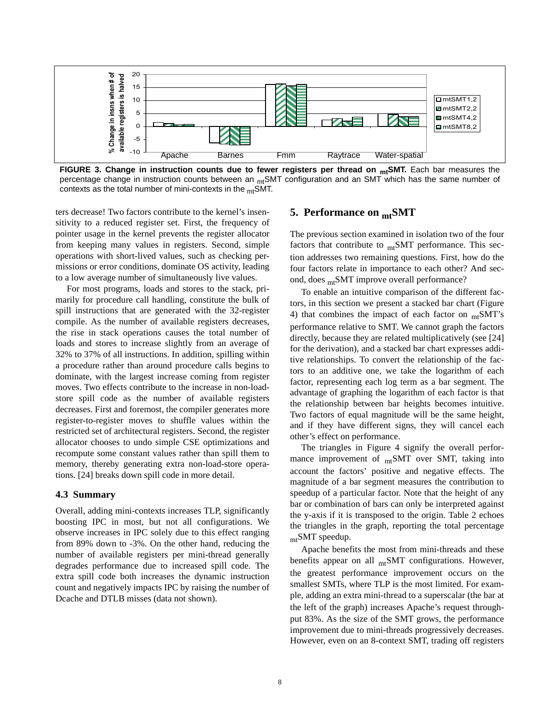

**FIGURE 3. Change in instruction counts due to fewer registers per thread on <sub>mt</sub>SMT. Each bar measures the** percentage change in instruction counts between an <sub>mt</sub>SMT configuration and an SMT which has the same number of contexts as the total number of mini-contexts in the  $_{mt}$ SMT.

ters decrease! Two factors contribute to the kernel's insensitivity to a reduced register set. First, the frequency of pointer usage in the kernel prevents the register allocator from keeping many values in registers. Second, simple operations with short-lived values, such as checking permissions or error conditions, dominate OS activity, leading to a low average number of simultaneously live values.

For most programs, loads and stores to the stack, primarily for procedure call handling, constitute the bulk of spill instructions that are generated with the 32-register compile. As the number of available registers decreases, the rise in stack operations causes the total number of loads and stores to increase slightly from an average of 32% to 37% of all instructions. In addition, spilling within a procedure rather than around procedure calls begins to dominate, with the largest increase coming from register moves. Two effects contribute to the increase in non-loadstore spill code as the number of available registers decreases. First and foremost, the compiler generates more register-to-register moves to shuffle values within the restricted set of architectural registers. Second, the register allocator chooses to undo simple CSE optimizations and recompute some constant values rather than spill them to memory, thereby generating extra non-load-store operations. [24] breaks down spill code in more detail.

#### **4.3 Summary**

Overall, adding mini-contexts increases TLP, significantly boosting IPC in most, but not all configurations. We observe increases in IPC solely due to this effect ranging from 89% down to -3%. On the other hand, reducing the number of available registers per mini-thread generally degrades performance due to increased spill code. The extra spill code both increases the dynamic instruction count and negatively impacts IPC by raising the number of Dcache and DTLB misses (data not shown).

## **5. Performance on <sub>mt</sub>SMT**

The previous section examined in isolation two of the four factors that contribute to  $_{mt}$ SMT performance. This section addresses two remaining questions. First, how do the four factors relate in importance to each other? And second, does <sub>mt</sub>SMT improve overall performance?

To enable an intuitive comparison of the different factors, in this section we present a stacked bar chart (Figure 4) that combines the impact of each factor on  $_{\text{mt}}$ SMT's performance relative to SMT. We cannot graph the factors directly, because they are related multiplicatively (see [24] for the derivation), and a stacked bar chart expresses additive relationships. To convert the relationship of the factors to an additive one, we take the logarithm of each factor, representing each log term as a bar segment. The advantage of graphing the logarithm of each factor is that the relationship between bar heights becomes intuitive. Two factors of equal magnitude will be the same height, and if they have different signs, they will cancel each other's effect on performance.

The triangles in Figure 4 signify the overall performance improvement of  $m$ SMT over SMT, taking into account the factors' positive and negative effects. The magnitude of a bar segment measures the contribution to speedup of a particular factor. Note that the height of any bar or combination of bars can only be interpreted against the y-axis if it is transposed to the origin. Table 2 echoes the triangles in the graph, reporting the total percentage  $m$ tSMT speedup.

Apache benefits the most from mini-threads and these benefits appear on all  $_{\text{mt}}$ SMT configurations. However, the greatest performance improvement occurs on the smallest SMTs, where TLP is the most limited. For example, adding an extra mini-thread to a superscalar (the bar at the left of the graph) increases Apache's request throughput 83%. As the size of the SMT grows, the performance improvement due to mini-threads progressively decreases. However, even on an 8-context SMT, trading off registers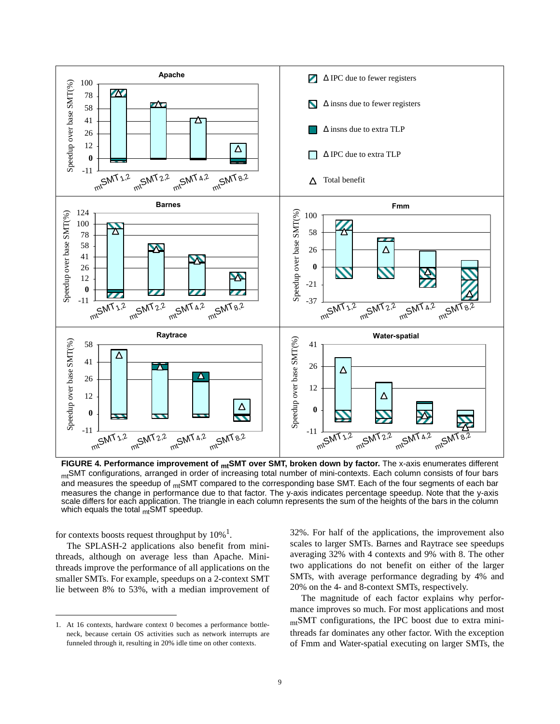

FIGURE 4. Performance improvement of <sub>mt</sub>SMT over SMT, broken down by factor. The x-axis enumerates different <sub>mt</sub>SMT configurations, arranged in order of increasing total number of mini-contexts. Each column consists of four bars and measures the speedup of <sub>mt</sub>SMT compared to the corresponding base SMT. Each of the four segments of each bar measures the change in performance due to that factor. The y-axis indicates percentage speedup. Note that the y-axis scale differs for each application. The triangle in each column represents the sum of the heights of the bars in the column which equals the total  $_{\text{mt}}$ SMT speedup.

for contexts boosts request throughput by  $10\%$ <sup>1</sup>.

The SPLASH-2 applications also benefit from minithreads, although on average less than Apache. Minithreads improve the performance of all applications on the smaller SMTs. For example, speedups on a 2-context SMT lie between 8% to 53%, with a median improvement of

32%. For half of the applications, the improvement also scales to larger SMTs. Barnes and Raytrace see speedups averaging 32% with 4 contexts and 9% with 8. The other two applications do not benefit on either of the larger SMTs, with average performance degrading by 4% and 20% on the 4- and 8-context SMTs, respectively.

The magnitude of each factor explains why performance improves so much. For most applications and most  $_{\text{mt}}$ SMT configurations, the IPC boost due to extra minithreads far dominates any other factor. With the exception of Fmm and Water-spatial executing on larger SMTs, the

<sup>1.</sup> At 16 contexts, hardware context 0 becomes a performance bottleneck, because certain OS activities such as network interrupts are funneled through it, resulting in 20% idle time on other contexts.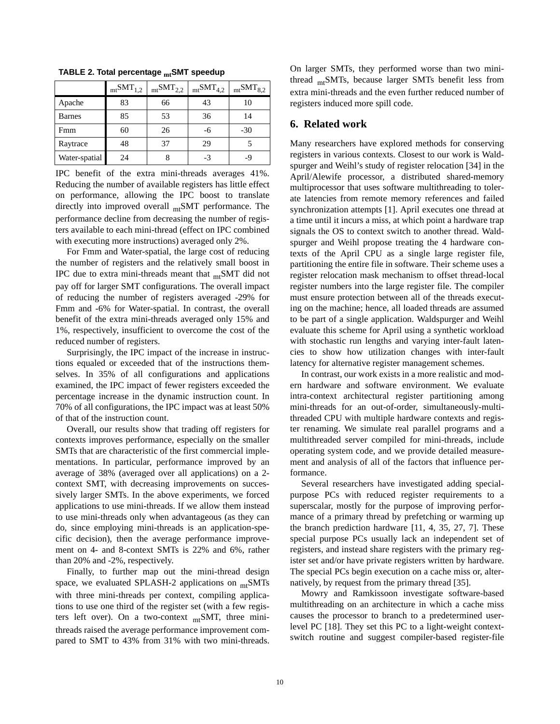|               | $m t$ SMT <sub>1,2</sub> | m <sub>2,2</sub> | m <sub>1</sub> SMT <sub>4,2</sub> | m <sub>5</sub> MT <sub>8,2</sub> |
|---------------|--------------------------|------------------|-----------------------------------|----------------------------------|
| Apache        | 83                       | 66               | 43                                | 10                               |
| <b>Barnes</b> | 85                       | 53               | 36                                | 14                               |
| Fmm           | 60                       | 26               | -6                                | $-30$                            |
| Raytrace      | 48                       | 37               | 29                                |                                  |
| Water-spatial | 24                       |                  | $-3$                              | -9                               |

**TABLE 2. Total percentage <sub>mt</sub>SMT speedup** 

IPC benefit of the extra mini-threads averages 41%. Reducing the number of available registers has little effect on performance, allowing the IPC boost to translate directly into improved overall  $_{mt}$ SMT performance. The performance decline from decreasing the number of registers available to each mini-thread (effect on IPC combined with executing more instructions) averaged only 2%.

For Fmm and Water-spatial, the large cost of reducing the number of registers and the relatively small boost in IPC due to extra mini-threads meant that  $_{\text{mt}}$ SMT did not pay off for larger SMT configurations. The overall impact of reducing the number of registers averaged -29% for Fmm and -6% for Water-spatial. In contrast, the overall benefit of the extra mini-threads averaged only 15% and 1%, respectively, insufficient to overcome the cost of the reduced number of registers.

Surprisingly, the IPC impact of the increase in instructions equaled or exceeded that of the instructions themselves. In 35% of all configurations and applications examined, the IPC impact of fewer registers exceeded the percentage increase in the dynamic instruction count. In 70% of all configurations, the IPC impact was at least 50% of that of the instruction count.

Overall, our results show that trading off registers for contexts improves performance, especially on the smaller SMTs that are characteristic of the first commercial implementations. In particular, performance improved by an average of 38% (averaged over all applications) on a 2 context SMT, with decreasing improvements on successively larger SMTs. In the above experiments, we forced applications to use mini-threads. If we allow them instead to use mini-threads only when advantageous (as they can do, since employing mini-threads is an application-specific decision), then the average performance improvement on 4- and 8-context SMTs is 22% and 6%, rather than 20% and -2%, respectively.

Finally, to further map out the mini-thread design space, we evaluated SPLASH-2 applications on  $m<sub>th</sub>$ SMTs with three mini-threads per context, compiling applications to use one third of the register set (with a few registers left over). On a two-context  $m$ tSMT, three minithreads raised the average performance improvement compared to SMT to 43% from 31% with two mini-threads.

On larger SMTs, they performed worse than two minithread <sub>mt</sub>SMTs, because larger SMTs benefit less from extra mini-threads and the even further reduced number of registers induced more spill code.

#### **6. Related work**

Many researchers have explored methods for conserving registers in various contexts. Closest to our work is Waldspurger and Weihl's study of register relocation [34] in the April/Alewife processor, a distributed shared-memory multiprocessor that uses software multithreading to tolerate latencies from remote memory references and failed synchronization attempts [1]. April executes one thread at a time until it incurs a miss, at which point a hardware trap signals the OS to context switch to another thread. Waldspurger and Weihl propose treating the 4 hardware contexts of the April CPU as a single large register file, partitioning the entire file in software. Their scheme uses a register relocation mask mechanism to offset thread-local register numbers into the large register file. The compiler must ensure protection between all of the threads executing on the machine; hence, all loaded threads are assumed to be part of a single application. Waldspurger and Weihl evaluate this scheme for April using a synthetic workload with stochastic run lengths and varying inter-fault latencies to show how utilization changes with inter-fault latency for alternative register management schemes.

In contrast, our work exists in a more realistic and modern hardware and software environment. We evaluate intra-context architectural register partitioning among mini-threads for an out-of-order, simultaneously-multithreaded CPU with multiple hardware contexts and register renaming. We simulate real parallel programs and a multithreaded server compiled for mini-threads, include operating system code, and we provide detailed measurement and analysis of all of the factors that influence performance.

Several researchers have investigated adding specialpurpose PCs with reduced register requirements to a superscalar, mostly for the purpose of improving performance of a primary thread by prefetching or warming up the branch prediction hardware [11, 4, 35, 27, 7]. These special purpose PCs usually lack an independent set of registers, and instead share registers with the primary register set and/or have private registers written by hardware. The special PCs begin execution on a cache miss or, alternatively, by request from the primary thread [35].

Mowry and Ramkissoon investigate software-based multithreading on an architecture in which a cache miss causes the processor to branch to a predetermined userlevel PC [18]. They set this PC to a light-weight contextswitch routine and suggest compiler-based register-file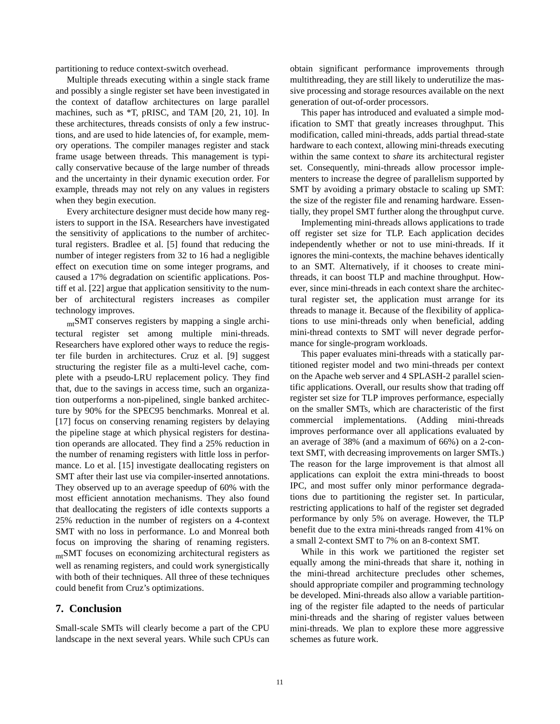partitioning to reduce context-switch overhead.

Multiple threads executing within a single stack frame and possibly a single register set have been investigated in the context of dataflow architectures on large parallel machines, such as \*T, pRISC, and TAM [20, 21, 10]. In these architectures, threads consists of only a few instructions, and are used to hide latencies of, for example, memory operations. The compiler manages register and stack frame usage between threads. This management is typically conservative because of the large number of threads and the uncertainty in their dynamic execution order. For example, threads may not rely on any values in registers when they begin execution.

Every architecture designer must decide how many registers to support in the ISA. Researchers have investigated the sensitivity of applications to the number of architectural registers. Bradlee et al. [5] found that reducing the number of integer registers from 32 to 16 had a negligible effect on execution time on some integer programs, and caused a 17% degradation on scientific applications. Postiff et al. [22] argue that application sensitivity to the number of architectural registers increases as compiler technology improves.

mtSMT conserves registers by mapping a single architectural register set among multiple mini-threads. Researchers have explored other ways to reduce the register file burden in architectures. Cruz et al. [9] suggest structuring the register file as a multi-level cache, complete with a pseudo-LRU replacement policy. They find that, due to the savings in access time, such an organization outperforms a non-pipelined, single banked architecture by 90% for the SPEC95 benchmarks. Monreal et al. [17] focus on conserving renaming registers by delaying the pipeline stage at which physical registers for destination operands are allocated. They find a 25% reduction in the number of renaming registers with little loss in performance. Lo et al. [15] investigate deallocating registers on SMT after their last use via compiler-inserted annotations. They observed up to an average speedup of 60% with the most efficient annotation mechanisms. They also found that deallocating the registers of idle contexts supports a 25% reduction in the number of registers on a 4-context SMT with no loss in performance. Lo and Monreal both focus on improving the sharing of renaming registers. mtSMT focuses on economizing architectural registers as well as renaming registers, and could work synergistically with both of their techniques. All three of these techniques could benefit from Cruz's optimizations.

# **7. Conclusion**

Small-scale SMTs will clearly become a part of the CPU landscape in the next several years. While such CPUs can obtain significant performance improvements through multithreading, they are still likely to underutilize the massive processing and storage resources available on the next generation of out-of-order processors.

This paper has introduced and evaluated a simple modification to SMT that greatly increases throughput. This modification, called mini-threads, adds partial thread-state hardware to each context, allowing mini-threads executing within the same context to *share* its architectural register set. Consequently, mini-threads allow processor implementers to increase the degree of parallelism supported by SMT by avoiding a primary obstacle to scaling up SMT: the size of the register file and renaming hardware. Essentially, they propel SMT further along the throughput curve.

Implementing mini-threads allows applications to trade off register set size for TLP. Each application decides independently whether or not to use mini-threads. If it ignores the mini-contexts, the machine behaves identically to an SMT. Alternatively, if it chooses to create minithreads, it can boost TLP and machine throughput. However, since mini-threads in each context share the architectural register set, the application must arrange for its threads to manage it. Because of the flexibility of applications to use mini-threads only when beneficial, adding mini-thread contexts to SMT will never degrade performance for single-program workloads.

This paper evaluates mini-threads with a statically partitioned register model and two mini-threads per context on the Apache web server and 4 SPLASH-2 parallel scientific applications. Overall, our results show that trading off register set size for TLP improves performance, especially on the smaller SMTs, which are characteristic of the first commercial implementations. (Adding mini-threads improves performance over all applications evaluated by an average of 38% (and a maximum of 66%) on a 2-context SMT, with decreasing improvements on larger SMTs.) The reason for the large improvement is that almost all applications can exploit the extra mini-threads to boost IPC, and most suffer only minor performance degradations due to partitioning the register set. In particular, restricting applications to half of the register set degraded performance by only 5% on average. However, the TLP benefit due to the extra mini-threads ranged from 41% on a small 2-context SMT to 7% on an 8-context SMT.

While in this work we partitioned the register set equally among the mini-threads that share it, nothing in the mini-thread architecture precludes other schemes, should appropriate compiler and programming technology be developed. Mini-threads also allow a variable partitioning of the register file adapted to the needs of particular mini-threads and the sharing of register values between mini-threads. We plan to explore these more aggressive schemes as future work.